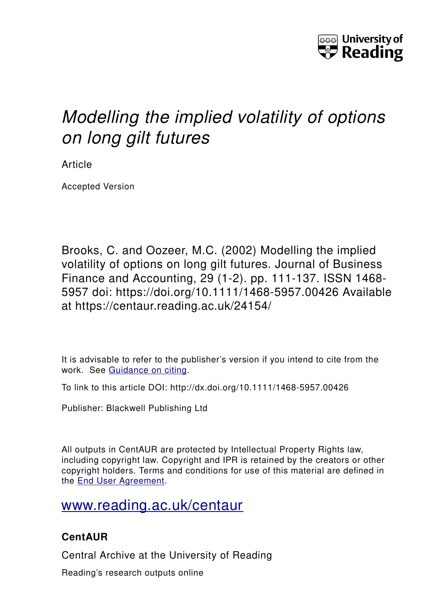

# *Modelling the implied volatility of options on long gilt futures*

Article

Accepted Version

Brooks, C. and Oozeer, M.C. (2002) Modelling the implied volatility of options on long gilt futures. Journal of Business Finance and Accounting, 29 (1-2). pp. 111-137. ISSN 1468- 5957 doi: https://doi.org/10.1111/1468-5957.00426 Available at https://centaur.reading.ac.uk/24154/

It is advisable to refer to the publisher's version if you intend to cite from the work. See [Guidance on citing.](http://centaur.reading.ac.uk/71187/10/CentAUR%20citing%20guide.pdf)

To link to this article DOI: http://dx.doi.org/10.1111/1468-5957.00426

Publisher: Blackwell Publishing Ltd

All outputs in CentAUR are protected by Intellectual Property Rights law, including copyright law. Copyright and IPR is retained by the creators or other copyright holders. Terms and conditions for use of this material are defined in the [End User Agreement.](http://centaur.reading.ac.uk/licence)

[www.reading.ac.uk/centaur](http://www.reading.ac.uk/centaur)

# **CentAUR**

Central Archive at the University of Reading

Reading's research outputs online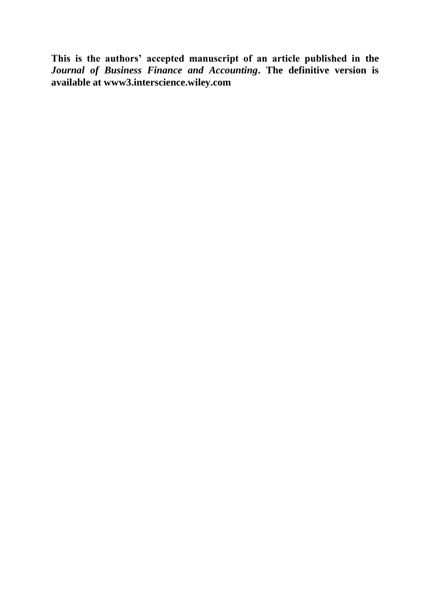**This is the authors' accepted manuscript of an article published in the**  *Journal of Business Finance and Accounting***. The definitive version is available at www3.interscience.wiley.com**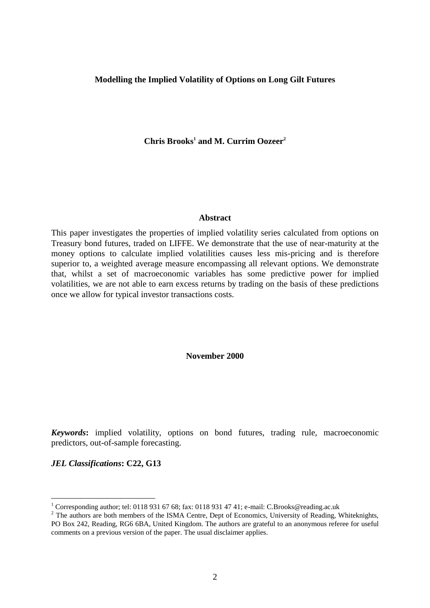# **Modelling the Implied Volatility of Options on Long Gilt Futures**

**Chris Brooks<sup>1</sup> and M. Currim Oozeer<sup>2</sup>**

## **Abstract**

This paper investigates the properties of implied volatility series calculated from options on Treasury bond futures, traded on LIFFE. We demonstrate that the use of near-maturity at the money options to calculate implied volatilities causes less mis-pricing and is therefore superior to, a weighted average measure encompassing all relevant options. We demonstrate that, whilst a set of macroeconomic variables has some predictive power for implied volatilities, we are not able to earn excess returns by trading on the basis of these predictions once we allow for typical investor transactions costs.

# **November 2000**

*Keywords***:** implied volatility, options on bond futures, trading rule, macroeconomic predictors, out-of-sample forecasting.

*JEL Classifications***: C22, G13**

<sup>&</sup>lt;sup>1</sup> Corresponding author; tel: 0118 931 67 68; fax: 0118 931 47 41; e-mail: C.Brooks@reading.ac.uk

<sup>&</sup>lt;sup>2</sup> The authors are both members of the ISMA Centre, Dept of Economics, University of Reading, Whiteknights, PO Box 242, Reading, RG6 6BA, United Kingdom. The authors are grateful to an anonymous referee for useful comments on a previous version of the paper. The usual disclaimer applies.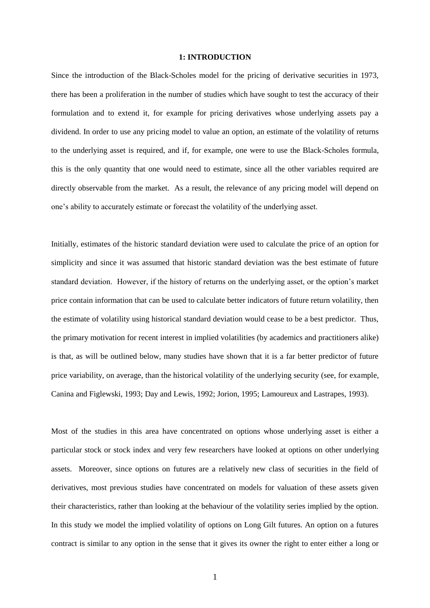#### **1: INTRODUCTION**

Since the introduction of the Black-Scholes model for the pricing of derivative securities in 1973, there has been a proliferation in the number of studies which have sought to test the accuracy of their formulation and to extend it, for example for pricing derivatives whose underlying assets pay a dividend. In order to use any pricing model to value an option, an estimate of the volatility of returns to the underlying asset is required, and if, for example, one were to use the Black-Scholes formula, this is the only quantity that one would need to estimate, since all the other variables required are directly observable from the market. As a result, the relevance of any pricing model will depend on one's ability to accurately estimate or forecast the volatility of the underlying asset.

Initially, estimates of the historic standard deviation were used to calculate the price of an option for simplicity and since it was assumed that historic standard deviation was the best estimate of future standard deviation. However, if the history of returns on the underlying asset, or the option's market price contain information that can be used to calculate better indicators of future return volatility, then the estimate of volatility using historical standard deviation would cease to be a best predictor. Thus, the primary motivation for recent interest in implied volatilities (by academics and practitioners alike) is that, as will be outlined below, many studies have shown that it is a far better predictor of future price variability, on average, than the historical volatility of the underlying security (see, for example, Canina and Figlewski, 1993; Day and Lewis, 1992; Jorion, 1995; Lamoureux and Lastrapes, 1993).

Most of the studies in this area have concentrated on options whose underlying asset is either a particular stock or stock index and very few researchers have looked at options on other underlying assets. Moreover, since options on futures are a relatively new class of securities in the field of derivatives, most previous studies have concentrated on models for valuation of these assets given their characteristics, rather than looking at the behaviour of the volatility series implied by the option. In this study we model the implied volatility of options on Long Gilt futures. An option on a futures contract is similar to any option in the sense that it gives its owner the right to enter either a long or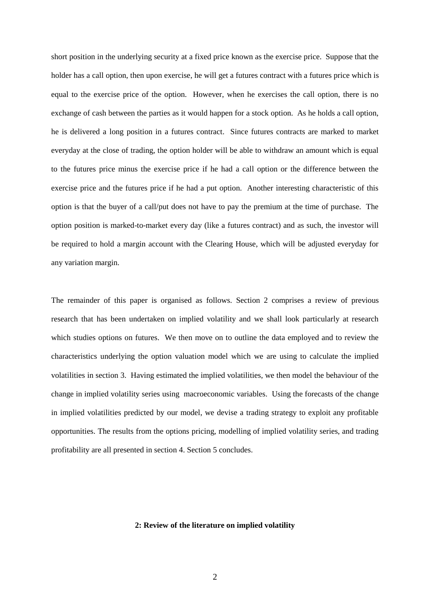short position in the underlying security at a fixed price known as the exercise price. Suppose that the holder has a call option, then upon exercise, he will get a futures contract with a futures price which is equal to the exercise price of the option. However, when he exercises the call option, there is no exchange of cash between the parties as it would happen for a stock option. As he holds a call option, he is delivered a long position in a futures contract. Since futures contracts are marked to market everyday at the close of trading, the option holder will be able to withdraw an amount which is equal to the futures price minus the exercise price if he had a call option or the difference between the exercise price and the futures price if he had a put option. Another interesting characteristic of this option is that the buyer of a call/put does not have to pay the premium at the time of purchase. The option position is marked-to-market every day (like a futures contract) and as such, the investor will be required to hold a margin account with the Clearing House, which will be adjusted everyday for any variation margin.

The remainder of this paper is organised as follows. Section 2 comprises a review of previous research that has been undertaken on implied volatility and we shall look particularly at research which studies options on futures. We then move on to outline the data employed and to review the characteristics underlying the option valuation model which we are using to calculate the implied volatilities in section 3. Having estimated the implied volatilities, we then model the behaviour of the change in implied volatility series using macroeconomic variables. Using the forecasts of the change in implied volatilities predicted by our model, we devise a trading strategy to exploit any profitable opportunities. The results from the options pricing, modelling of implied volatility series, and trading profitability are all presented in section 4. Section 5 concludes.

## **2: Review of the literature on implied volatility**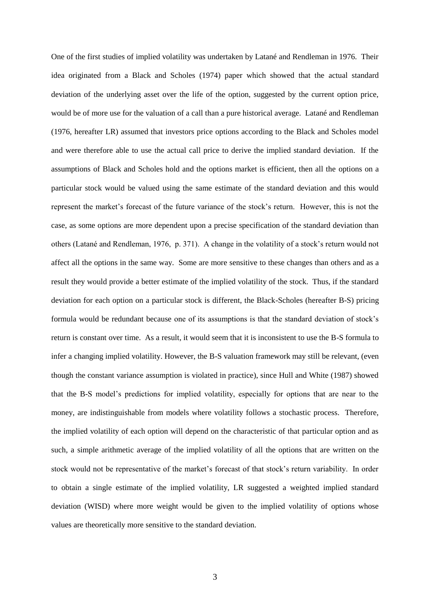One of the first studies of implied volatility was undertaken by Latané and Rendleman in 1976. Their idea originated from a Black and Scholes (1974) paper which showed that the actual standard deviation of the underlying asset over the life of the option, suggested by the current option price, would be of more use for the valuation of a call than a pure historical average. Latané and Rendleman (1976, hereafter LR) assumed that investors price options according to the Black and Scholes model and were therefore able to use the actual call price to derive the implied standard deviation. If the assumptions of Black and Scholes hold and the options market is efficient, then all the options on a particular stock would be valued using the same estimate of the standard deviation and this would represent the market's forecast of the future variance of the stock's return. However, this is not the case, as some options are more dependent upon a precise specification of the standard deviation than others (Latané and Rendleman, 1976, p. 371). A change in the volatility of a stock's return would not affect all the options in the same way. Some are more sensitive to these changes than others and as a result they would provide a better estimate of the implied volatility of the stock. Thus, if the standard deviation for each option on a particular stock is different, the Black-Scholes (hereafter B-S) pricing formula would be redundant because one of its assumptions is that the standard deviation of stock's return is constant over time. As a result, it would seem that it is inconsistent to use the B-S formula to infer a changing implied volatility. However, the B-S valuation framework may still be relevant, (even though the constant variance assumption is violated in practice), since Hull and White (1987) showed that the B-S model's predictions for implied volatility, especially for options that are near to the money, are indistinguishable from models where volatility follows a stochastic process. Therefore, the implied volatility of each option will depend on the characteristic of that particular option and as such, a simple arithmetic average of the implied volatility of all the options that are written on the stock would not be representative of the market's forecast of that stock's return variability. In order to obtain a single estimate of the implied volatility, LR suggested a weighted implied standard deviation (WISD) where more weight would be given to the implied volatility of options whose values are theoretically more sensitive to the standard deviation.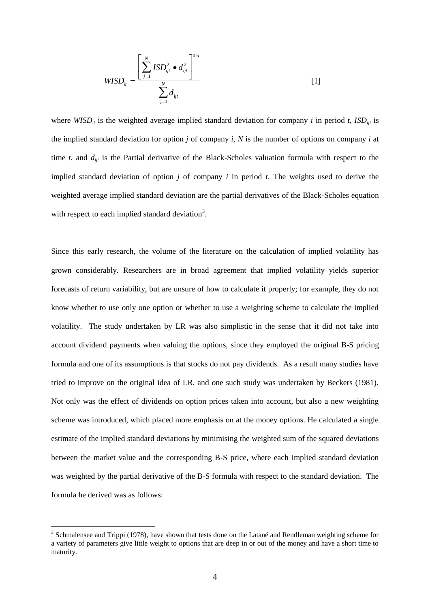$$
WISD_{it} = \frac{\left[\sum_{j=1}^{N} ISD_{ijt}^{2} \bullet d_{ijt}^{2}\right]^{0.5}}{\sum_{j=1}^{N} d_{ijt}}
$$
 [1]

where  $WISD_{it}$  is the weighted average implied standard deviation for company *i* in period *t*,  $ISD_{it}$  is the implied standard deviation for option *j* of company *i*, *N* is the number of options on company *i* at time *t*, and  $d_{ii}$  is the Partial derivative of the Black-Scholes valuation formula with respect to the implied standard deviation of option *j* of company *i* in period *t*. The weights used to derive the weighted average implied standard deviation are the partial derivatives of the Black-Scholes equation with respect to each implied standard deviation<sup>3</sup>.

Since this early research, the volume of the literature on the calculation of implied volatility has grown considerably. Researchers are in broad agreement that implied volatility yields superior forecasts of return variability, but are unsure of how to calculate it properly; for example, they do not know whether to use only one option or whether to use a weighting scheme to calculate the implied volatility. The study undertaken by LR was also simplistic in the sense that it did not take into account dividend payments when valuing the options, since they employed the original B-S pricing formula and one of its assumptions is that stocks do not pay dividends. As a result many studies have tried to improve on the original idea of LR, and one such study was undertaken by Beckers (1981). Not only was the effect of dividends on option prices taken into account, but also a new weighting scheme was introduced, which placed more emphasis on at the money options. He calculated a single estimate of the implied standard deviations by minimising the weighted sum of the squared deviations between the market value and the corresponding B-S price, where each implied standard deviation was weighted by the partial derivative of the B-S formula with respect to the standard deviation. The formula he derived was as follows:

<sup>&</sup>lt;sup>3</sup> Schmalensee and Trippi (1978), have shown that tests done on the Latané and Rendleman weighting scheme for a variety of parameters give little weight to options that are deep in or out of the money and have a short time to maturity.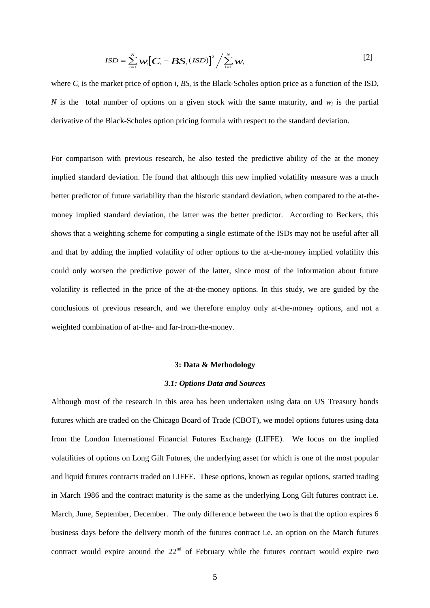$$
ISD = \sum_{i=1}^{N} w_i \Big[ C_i - BS_i (ISD) \Big]^2 / \sum_{i=1}^{N} w_i
$$
 [2]

where  $C_i$  is the market price of option *i*,  $BS_i$  is the Black-Scholes option price as a function of the ISD, *N* is the total number of options on a given stock with the same maturity, and  $w_i$  is the partial derivative of the Black-Scholes option pricing formula with respect to the standard deviation.

For comparison with previous research, he also tested the predictive ability of the at the money implied standard deviation. He found that although this new implied volatility measure was a much better predictor of future variability than the historic standard deviation, when compared to the at-themoney implied standard deviation, the latter was the better predictor. According to Beckers, this shows that a weighting scheme for computing a single estimate of the ISDs may not be useful after all and that by adding the implied volatility of other options to the at-the-money implied volatility this could only worsen the predictive power of the latter, since most of the information about future volatility is reflected in the price of the at-the-money options. In this study, we are guided by the conclusions of previous research, and we therefore employ only at-the-money options, and not a weighted combination of at-the- and far-from-the-money.

#### **3: Data & Methodology**

## *3.1: Options Data and Sources*

Although most of the research in this area has been undertaken using data on US Treasury bonds futures which are traded on the Chicago Board of Trade (CBOT), we model options futures using data from the London International Financial Futures Exchange (LIFFE). We focus on the implied volatilities of options on Long Gilt Futures, the underlying asset for which is one of the most popular and liquid futures contracts traded on LIFFE. These options, known as regular options, started trading in March 1986 and the contract maturity is the same as the underlying Long Gilt futures contract i.e. March, June, September, December. The only difference between the two is that the option expires 6 business days before the delivery month of the futures contract i.e. an option on the March futures contract would expire around the  $22<sup>nd</sup>$  of February while the futures contract would expire two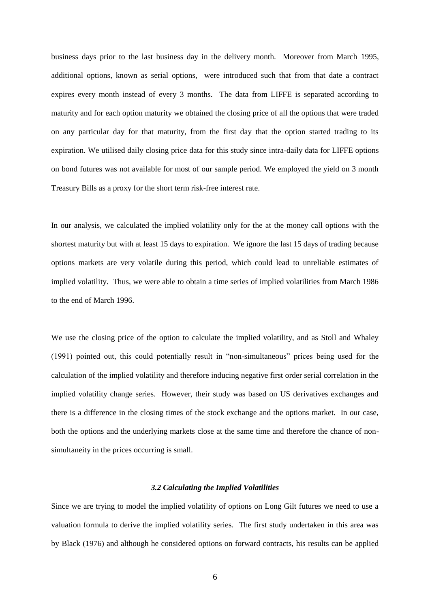business days prior to the last business day in the delivery month. Moreover from March 1995, additional options, known as serial options, were introduced such that from that date a contract expires every month instead of every 3 months. The data from LIFFE is separated according to maturity and for each option maturity we obtained the closing price of all the options that were traded on any particular day for that maturity, from the first day that the option started trading to its expiration. We utilised daily closing price data for this study since intra-daily data for LIFFE options on bond futures was not available for most of our sample period. We employed the yield on 3 month Treasury Bills as a proxy for the short term risk-free interest rate.

In our analysis, we calculated the implied volatility only for the at the money call options with the shortest maturity but with at least 15 days to expiration. We ignore the last 15 days of trading because options markets are very volatile during this period, which could lead to unreliable estimates of implied volatility. Thus, we were able to obtain a time series of implied volatilities from March 1986 to the end of March 1996.

We use the closing price of the option to calculate the implied volatility, and as Stoll and Whaley (1991) pointed out, this could potentially result in "non-simultaneous" prices being used for the calculation of the implied volatility and therefore inducing negative first order serial correlation in the implied volatility change series. However, their study was based on US derivatives exchanges and there is a difference in the closing times of the stock exchange and the options market. In our case, both the options and the underlying markets close at the same time and therefore the chance of nonsimultaneity in the prices occurring is small.

#### *3.2 Calculating the Implied Volatilities*

Since we are trying to model the implied volatility of options on Long Gilt futures we need to use a valuation formula to derive the implied volatility series. The first study undertaken in this area was by Black (1976) and although he considered options on forward contracts, his results can be applied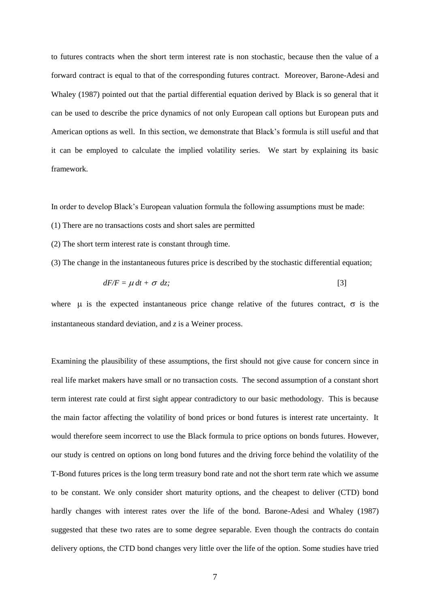to futures contracts when the short term interest rate is non stochastic, because then the value of a forward contract is equal to that of the corresponding futures contract. Moreover, Barone-Adesi and Whaley (1987) pointed out that the partial differential equation derived by Black is so general that it can be used to describe the price dynamics of not only European call options but European puts and American options as well. In this section, we demonstrate that Black's formula is still useful and that it can be employed to calculate the implied volatility series. We start by explaining its basic framework.

In order to develop Black's European valuation formula the following assumptions must be made:

- (1) There are no transactions costs and short sales are permitted
- (2) The short term interest rate is constant through time.
- (3) The change in the instantaneous futures price is described by the stochastic differential equation;

$$
dF/F = \mu dt + \sigma dz;
$$
 [3]

where  $\mu$  is the expected instantaneous price change relative of the futures contract,  $\sigma$  is the instantaneous standard deviation, and *z* is a Weiner process.

Examining the plausibility of these assumptions, the first should not give cause for concern since in real life market makers have small or no transaction costs. The second assumption of a constant short term interest rate could at first sight appear contradictory to our basic methodology. This is because the main factor affecting the volatility of bond prices or bond futures is interest rate uncertainty. It would therefore seem incorrect to use the Black formula to price options on bonds futures. However, our study is centred on options on long bond futures and the driving force behind the volatility of the T-Bond futures prices is the long term treasury bond rate and not the short term rate which we assume to be constant. We only consider short maturity options, and the cheapest to deliver (CTD) bond hardly changes with interest rates over the life of the bond. Barone-Adesi and Whaley (1987) suggested that these two rates are to some degree separable. Even though the contracts do contain delivery options, the CTD bond changes very little over the life of the option. Some studies have tried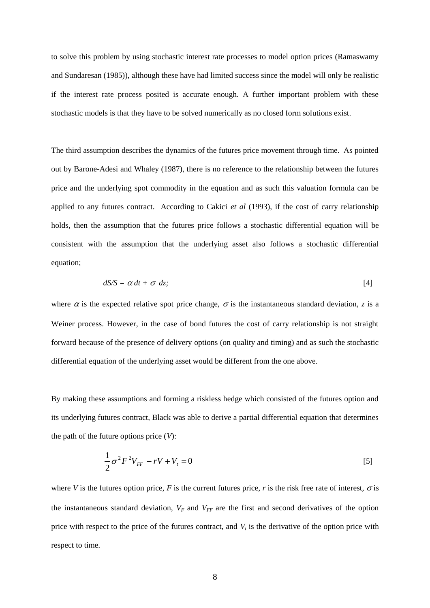to solve this problem by using stochastic interest rate processes to model option prices (Ramaswamy and Sundaresan (1985)), although these have had limited success since the model will only be realistic if the interest rate process posited is accurate enough. A further important problem with these stochastic models is that they have to be solved numerically as no closed form solutions exist.

The third assumption describes the dynamics of the futures price movement through time. As pointed out by Barone-Adesi and Whaley (1987), there is no reference to the relationship between the futures price and the underlying spot commodity in the equation and as such this valuation formula can be applied to any futures contract. According to Cakici *et al* (1993), if the cost of carry relationship holds, then the assumption that the futures price follows a stochastic differential equation will be consistent with the assumption that the underlying asset also follows a stochastic differential equation;

$$
dS/S = \alpha \, dt + \sigma \, dz; \tag{4}
$$

where  $\alpha$  is the expected relative spot price change,  $\sigma$  is the instantaneous standard deviation, *z* is a Weiner process. However, in the case of bond futures the cost of carry relationship is not straight forward because of the presence of delivery options (on quality and timing) and as such the stochastic differential equation of the underlying asset would be different from the one above.

By making these assumptions and forming a riskless hedge which consisted of the futures option and its underlying futures contract, Black was able to derive a partial differential equation that determines the path of the future options price (*V*):

$$
\frac{1}{2}\sigma^2 F^2 V_{FF} - rV + V_t = 0
$$
 [5]

where *V* is the futures option price, *F* is the current futures price, *r* is the risk free rate of interest,  $\sigma$  is the instantaneous standard deviation,  $V_F$  and  $V_{FF}$  are the first and second derivatives of the option price with respect to the price of the futures contract, and  $V_t$  is the derivative of the option price with respect to time.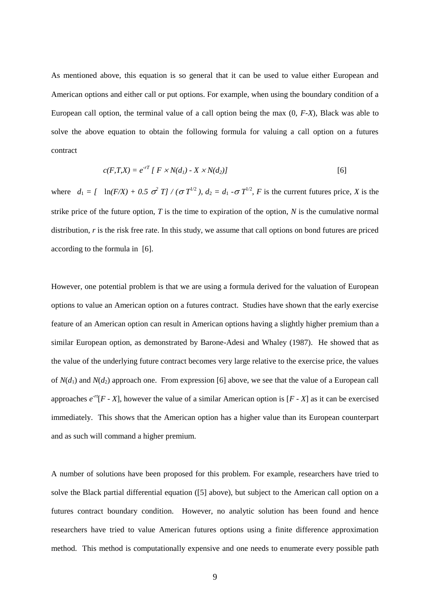As mentioned above, this equation is so general that it can be used to value either European and American options and either call or put options. For example, when using the boundary condition of a European call option, the terminal value of a call option being the max (0, *F-X*), Black was able to solve the above equation to obtain the following formula for valuing a call option on a futures contract

$$
c(F,T,X) = e^{-rT} [F \times N(d_1) - X \times N(d_2)] \qquad [6]
$$

where  $d_1 = \int \ln(F/X) + 0.5 \sigma^2 T / (\sigma T^{1/2})$ ,  $d_2 = d_1 \sigma T^{1/2}$ , *F* is the current futures price, *X* is the strike price of the future option, *T* is the time to expiration of the option, *N* is the cumulative normal distribution, *r* is the risk free rate. In this study, we assume that call options on bond futures are priced according to the formula in [6].

However, one potential problem is that we are using a formula derived for the valuation of European options to value an American option on a futures contract. Studies have shown that the early exercise feature of an American option can result in American options having a slightly higher premium than a similar European option, as demonstrated by Barone-Adesi and Whaley (1987). He showed that as the value of the underlying future contract becomes very large relative to the exercise price, the values of  $N(d_1)$  and  $N(d_2)$  approach one. From expression [6] above, we see that the value of a European call approaches  $e^{-rt}$ [*F* - *X*], however the value of a similar American option is [*F* - *X*] as it can be exercised immediately. This shows that the American option has a higher value than its European counterpart and as such will command a higher premium.

A number of solutions have been proposed for this problem. For example, researchers have tried to solve the Black partial differential equation ([5] above), but subject to the American call option on a futures contract boundary condition. However, no analytic solution has been found and hence researchers have tried to value American futures options using a finite difference approximation method. This method is computationally expensive and one needs to enumerate every possible path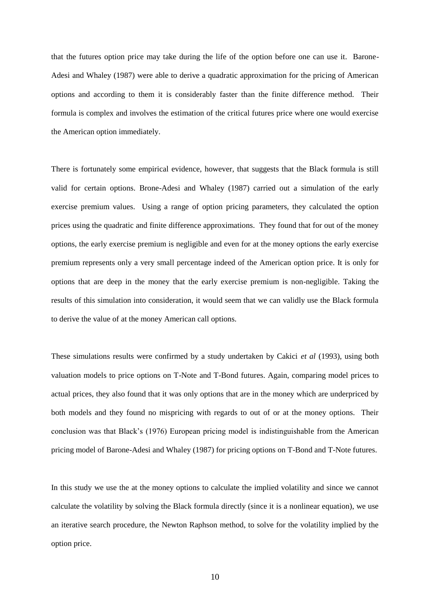that the futures option price may take during the life of the option before one can use it. Barone-Adesi and Whaley (1987) were able to derive a quadratic approximation for the pricing of American options and according to them it is considerably faster than the finite difference method. Their formula is complex and involves the estimation of the critical futures price where one would exercise the American option immediately.

There is fortunately some empirical evidence, however, that suggests that the Black formula is still valid for certain options. Brone-Adesi and Whaley (1987) carried out a simulation of the early exercise premium values. Using a range of option pricing parameters, they calculated the option prices using the quadratic and finite difference approximations. They found that for out of the money options, the early exercise premium is negligible and even for at the money options the early exercise premium represents only a very small percentage indeed of the American option price. It is only for options that are deep in the money that the early exercise premium is non-negligible. Taking the results of this simulation into consideration, it would seem that we can validly use the Black formula to derive the value of at the money American call options.

These simulations results were confirmed by a study undertaken by Cakici *et al* (1993), using both valuation models to price options on T-Note and T-Bond futures. Again, comparing model prices to actual prices, they also found that it was only options that are in the money which are underpriced by both models and they found no mispricing with regards to out of or at the money options. Their conclusion was that Black's (1976) European pricing model is indistinguishable from the American pricing model of Barone-Adesi and Whaley (1987) for pricing options on T-Bond and T-Note futures.

In this study we use the at the money options to calculate the implied volatility and since we cannot calculate the volatility by solving the Black formula directly (since it is a nonlinear equation), we use an iterative search procedure, the Newton Raphson method, to solve for the volatility implied by the option price.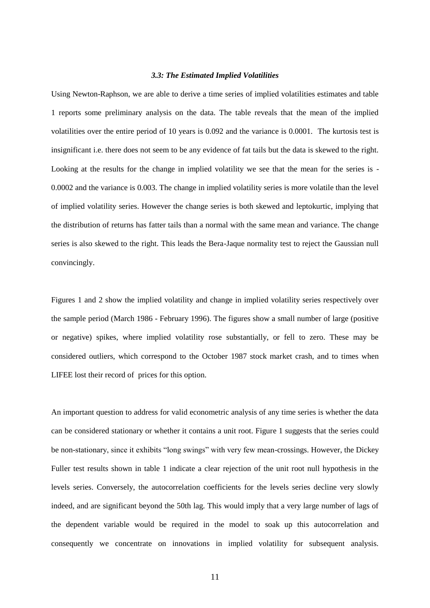#### *3.3: The Estimated Implied Volatilities*

Using Newton-Raphson, we are able to derive a time series of implied volatilities estimates and table 1 reports some preliminary analysis on the data. The table reveals that the mean of the implied volatilities over the entire period of 10 years is 0.092 and the variance is 0.0001. The kurtosis test is insignificant i.e. there does not seem to be any evidence of fat tails but the data is skewed to the right. Looking at the results for the change in implied volatility we see that the mean for the series is - 0.0002 and the variance is 0.003. The change in implied volatility series is more volatile than the level of implied volatility series. However the change series is both skewed and leptokurtic, implying that the distribution of returns has fatter tails than a normal with the same mean and variance. The change series is also skewed to the right. This leads the Bera-Jaque normality test to reject the Gaussian null convincingly.

Figures 1 and 2 show the implied volatility and change in implied volatility series respectively over the sample period (March 1986 - February 1996). The figures show a small number of large (positive or negative) spikes, where implied volatility rose substantially, or fell to zero. These may be considered outliers, which correspond to the October 1987 stock market crash, and to times when LIFEE lost their record of prices for this option.

An important question to address for valid econometric analysis of any time series is whether the data can be considered stationary or whether it contains a unit root. Figure 1 suggests that the series could be non-stationary, since it exhibits "long swings" with very few mean-crossings. However, the Dickey Fuller test results shown in table 1 indicate a clear rejection of the unit root null hypothesis in the levels series. Conversely, the autocorrelation coefficients for the levels series decline very slowly indeed, and are significant beyond the 50th lag. This would imply that a very large number of lags of the dependent variable would be required in the model to soak up this autocorrelation and consequently we concentrate on innovations in implied volatility for subsequent analysis.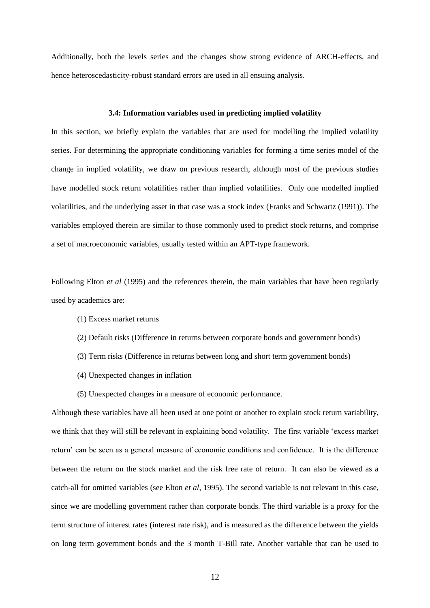Additionally, both the levels series and the changes show strong evidence of ARCH-effects, and hence heteroscedasticity-robust standard errors are used in all ensuing analysis.

#### **3.4: Information variables used in predicting implied volatility**

In this section, we briefly explain the variables that are used for modelling the implied volatility series. For determining the appropriate conditioning variables for forming a time series model of the change in implied volatility, we draw on previous research, although most of the previous studies have modelled stock return volatilities rather than implied volatilities. Only one modelled implied volatilities, and the underlying asset in that case was a stock index (Franks and Schwartz (1991)). The variables employed therein are similar to those commonly used to predict stock returns, and comprise a set of macroeconomic variables, usually tested within an APT-type framework.

Following Elton *et al* (1995) and the references therein, the main variables that have been regularly used by academics are:

(1) Excess market returns

- (2) Default risks (Difference in returns between corporate bonds and government bonds)
- (3) Term risks (Difference in returns between long and short term government bonds)
- (4) Unexpected changes in inflation
- (5) Unexpected changes in a measure of economic performance.

Although these variables have all been used at one point or another to explain stock return variability, we think that they will still be relevant in explaining bond volatility. The first variable 'excess market return' can be seen as a general measure of economic conditions and confidence. It is the difference between the return on the stock market and the risk free rate of return. It can also be viewed as a catch-all for omitted variables (see Elton *et al*, 1995). The second variable is not relevant in this case, since we are modelling government rather than corporate bonds. The third variable is a proxy for the term structure of interest rates (interest rate risk), and is measured as the difference between the yields on long term government bonds and the 3 month T-Bill rate. Another variable that can be used to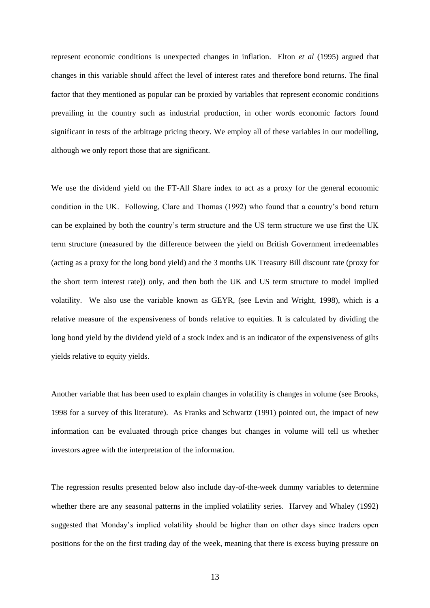represent economic conditions is unexpected changes in inflation. Elton *et al* (1995) argued that changes in this variable should affect the level of interest rates and therefore bond returns. The final factor that they mentioned as popular can be proxied by variables that represent economic conditions prevailing in the country such as industrial production, in other words economic factors found significant in tests of the arbitrage pricing theory. We employ all of these variables in our modelling, although we only report those that are significant.

We use the dividend yield on the FT-All Share index to act as a proxy for the general economic condition in the UK. Following, Clare and Thomas (1992) who found that a country's bond return can be explained by both the country's term structure and the US term structure we use first the UK term structure (measured by the difference between the yield on British Government irredeemables (acting as a proxy for the long bond yield) and the 3 months UK Treasury Bill discount rate (proxy for the short term interest rate)) only, and then both the UK and US term structure to model implied volatility. We also use the variable known as GEYR, (see Levin and Wright, 1998), which is a relative measure of the expensiveness of bonds relative to equities. It is calculated by dividing the long bond yield by the dividend yield of a stock index and is an indicator of the expensiveness of gilts yields relative to equity yields.

Another variable that has been used to explain changes in volatility is changes in volume (see Brooks, 1998 for a survey of this literature). As Franks and Schwartz (1991) pointed out, the impact of new information can be evaluated through price changes but changes in volume will tell us whether investors agree with the interpretation of the information.

The regression results presented below also include day-of-the-week dummy variables to determine whether there are any seasonal patterns in the implied volatility series. Harvey and Whaley (1992) suggested that Monday's implied volatility should be higher than on other days since traders open positions for the on the first trading day of the week, meaning that there is excess buying pressure on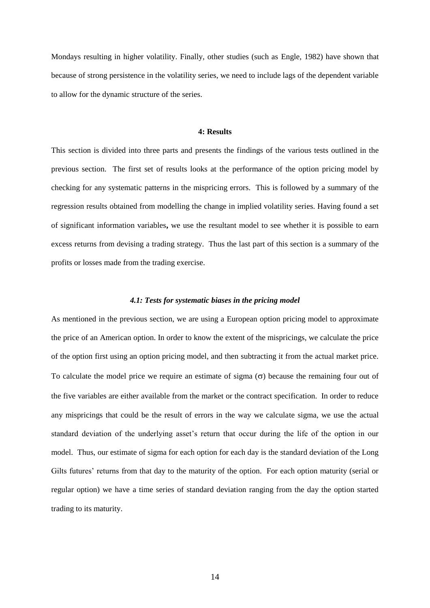Mondays resulting in higher volatility. Finally, other studies (such as Engle, 1982) have shown that because of strong persistence in the volatility series, we need to include lags of the dependent variable to allow for the dynamic structure of the series.

#### **4: Results**

This section is divided into three parts and presents the findings of the various tests outlined in the previous section. The first set of results looks at the performance of the option pricing model by checking for any systematic patterns in the mispricing errors. This is followed by a summary of the regression results obtained from modelling the change in implied volatility series. Having found a set of significant information variables**,** we use the resultant model to see whether it is possible to earn excess returns from devising a trading strategy. Thus the last part of this section is a summary of the profits or losses made from the trading exercise.

## *4.1: Tests for systematic biases in the pricing model*

As mentioned in the previous section, we are using a European option pricing model to approximate the price of an American option. In order to know the extent of the mispricings, we calculate the price of the option first using an option pricing model, and then subtracting it from the actual market price. To calculate the model price we require an estimate of sigma  $(\sigma)$  because the remaining four out of the five variables are either available from the market or the contract specification. In order to reduce any mispricings that could be the result of errors in the way we calculate sigma, we use the actual standard deviation of the underlying asset's return that occur during the life of the option in our model. Thus, our estimate of sigma for each option for each day is the standard deviation of the Long Gilts futures' returns from that day to the maturity of the option. For each option maturity (serial or regular option) we have a time series of standard deviation ranging from the day the option started trading to its maturity.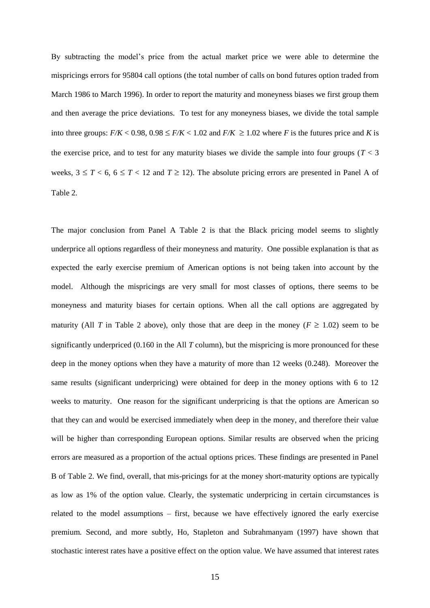By subtracting the model's price from the actual market price we were able to determine the mispricings errors for 95804 call options (the total number of calls on bond futures option traded from March 1986 to March 1996). In order to report the maturity and moneyness biases we first group them and then average the price deviations. To test for any moneyness biases, we divide the total sample into three groups:  $F/K < 0.98$ ,  $0.98 \le F/K < 1.02$  and  $F/K \ge 1.02$  where *F* is the futures price and *K* is the exercise price, and to test for any maturity biases we divide the sample into four groups ( $T < 3$ ) weeks,  $3 \le T < 6$ ,  $6 \le T < 12$  and  $T \ge 12$ ). The absolute pricing errors are presented in Panel A of Table 2.

The major conclusion from Panel A Table 2 is that the Black pricing model seems to slightly underprice all options regardless of their moneyness and maturity. One possible explanation is that as expected the early exercise premium of American options is not being taken into account by the model. Although the mispricings are very small for most classes of options, there seems to be moneyness and maturity biases for certain options. When all the call options are aggregated by maturity (All *T* in Table 2 above), only those that are deep in the money ( $F \ge 1.02$ ) seem to be significantly underpriced (0.160 in the All *T* column), but the mispricing is more pronounced for these deep in the money options when they have a maturity of more than 12 weeks (0.248). Moreover the same results (significant underpricing) were obtained for deep in the money options with 6 to 12 weeks to maturity. One reason for the significant underpricing is that the options are American so that they can and would be exercised immediately when deep in the money, and therefore their value will be higher than corresponding European options. Similar results are observed when the pricing errors are measured as a proportion of the actual options prices. These findings are presented in Panel B of Table 2. We find, overall, that mis-pricings for at the money short-maturity options are typically as low as 1% of the option value. Clearly, the systematic underpricing in certain circumstances is related to the model assumptions – first, because we have effectively ignored the early exercise premium. Second, and more subtly, Ho, Stapleton and Subrahmanyam (1997) have shown that stochastic interest rates have a positive effect on the option value. We have assumed that interest rates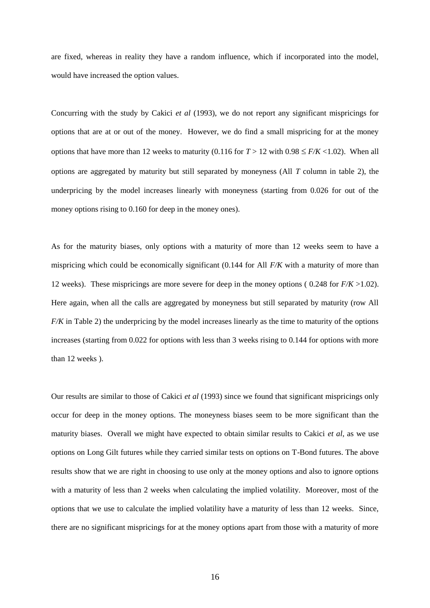are fixed, whereas in reality they have a random influence, which if incorporated into the model, would have increased the option values.

Concurring with the study by Cakici *et al* (1993), we do not report any significant mispricings for options that are at or out of the money. However, we do find a small mispricing for at the money options that have more than 12 weeks to maturity (0.116 for  $T > 12$  with  $0.98 \le F/K < 1.02$ ). When all options are aggregated by maturity but still separated by moneyness (All *T* column in table 2), the underpricing by the model increases linearly with moneyness (starting from 0.026 for out of the money options rising to 0.160 for deep in the money ones).

As for the maturity biases, only options with a maturity of more than 12 weeks seem to have a mispricing which could be economically significant (0.144 for All *F/K* with a maturity of more than 12 weeks). These mispricings are more severe for deep in the money options ( 0.248 for *F/K* >1.02). Here again, when all the calls are aggregated by moneyness but still separated by maturity (row All *F/K* in Table 2) the underpricing by the model increases linearly as the time to maturity of the options increases (starting from 0.022 for options with less than 3 weeks rising to 0.144 for options with more than 12 weeks ).

Our results are similar to those of Cakici *et al* (1993) since we found that significant mispricings only occur for deep in the money options. The moneyness biases seem to be more significant than the maturity biases. Overall we might have expected to obtain similar results to Cakici *et al*, as we use options on Long Gilt futures while they carried similar tests on options on T-Bond futures. The above results show that we are right in choosing to use only at the money options and also to ignore options with a maturity of less than 2 weeks when calculating the implied volatility. Moreover, most of the options that we use to calculate the implied volatility have a maturity of less than 12 weeks. Since, there are no significant mispricings for at the money options apart from those with a maturity of more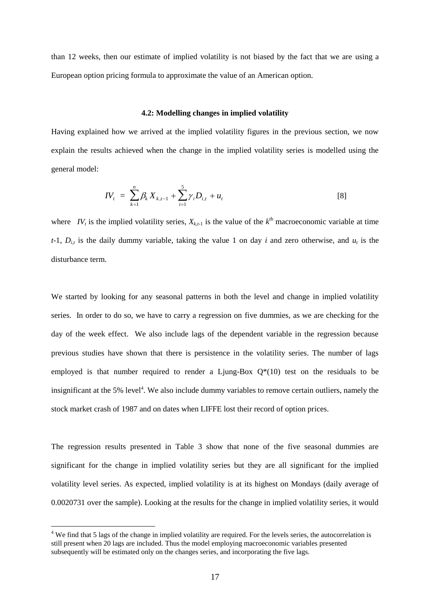than 12 weeks, then our estimate of implied volatility is not biased by the fact that we are using a European option pricing formula to approximate the value of an American option.

#### **4.2: Modelling changes in implied volatility**

Having explained how we arrived at the implied volatility figures in the previous section, we now explain the results achieved when the change in the implied volatility series is modelled using the general model:

$$
IV_{t} = \sum_{k=1}^{n} \beta_{k} X_{k,t-1} + \sum_{i=1}^{5} \gamma_{i} D_{i,t} + u_{t}
$$
\n
$$
[8]
$$

where *IV<sub>t</sub>* is the implied volatility series,  $X_{k,t-1}$  is the value of the  $k^{\text{th}}$  macroeconomic variable at time  $t-1$ ,  $D_{i,t}$  is the daily dummy variable, taking the value 1 on day *i* and zero otherwise, and  $u_t$  is the disturbance term.

We started by looking for any seasonal patterns in both the level and change in implied volatility series. In order to do so, we have to carry a regression on five dummies, as we are checking for the day of the week effect. We also include lags of the dependent variable in the regression because previous studies have shown that there is persistence in the volatility series. The number of lags employed is that number required to render a Ljung-Box  $Q^*(10)$  test on the residuals to be insignificant at the 5% level<sup>4</sup>. We also include dummy variables to remove certain outliers, namely the stock market crash of 1987 and on dates when LIFFE lost their record of option prices.

The regression results presented in Table 3 show that none of the five seasonal dummies are significant for the change in implied volatility series but they are all significant for the implied volatility level series. As expected, implied volatility is at its highest on Mondays (daily average of 0.0020731 over the sample). Looking at the results for the change in implied volatility series, it would

<sup>&</sup>lt;sup>4</sup> We find that 5 lags of the change in implied volatility are required. For the levels series, the autocorrelation is still present when 20 lags are included. Thus the model employing macroeconomic variables presented subsequently will be estimated only on the changes series, and incorporating the five lags.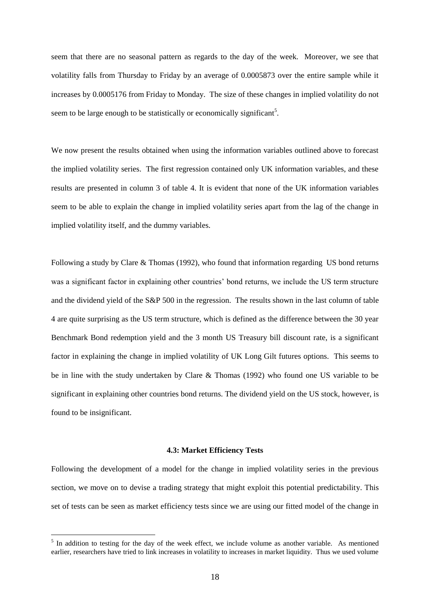seem that there are no seasonal pattern as regards to the day of the week. Moreover, we see that volatility falls from Thursday to Friday by an average of 0.0005873 over the entire sample while it increases by 0.0005176 from Friday to Monday. The size of these changes in implied volatility do not seem to be large enough to be statistically or economically significant<sup>5</sup>.

We now present the results obtained when using the information variables outlined above to forecast the implied volatility series. The first regression contained only UK information variables, and these results are presented in column 3 of table 4. It is evident that none of the UK information variables seem to be able to explain the change in implied volatility series apart from the lag of the change in implied volatility itself, and the dummy variables.

Following a study by Clare & Thomas (1992), who found that information regarding US bond returns was a significant factor in explaining other countries' bond returns, we include the US term structure and the dividend yield of the S&P 500 in the regression. The results shown in the last column of table 4 are quite surprising as the US term structure, which is defined as the difference between the 30 year Benchmark Bond redemption yield and the 3 month US Treasury bill discount rate, is a significant factor in explaining the change in implied volatility of UK Long Gilt futures options. This seems to be in line with the study undertaken by Clare & Thomas (1992) who found one US variable to be significant in explaining other countries bond returns. The dividend yield on the US stock, however, is found to be insignificant.

#### **4.3: Market Efficiency Tests**

Following the development of a model for the change in implied volatility series in the previous section, we move on to devise a trading strategy that might exploit this potential predictability. This set of tests can be seen as market efficiency tests since we are using our fitted model of the change in

<sup>&</sup>lt;sup>5</sup> In addition to testing for the day of the week effect, we include volume as another variable. As mentioned earlier, researchers have tried to link increases in volatility to increases in market liquidity. Thus we used volume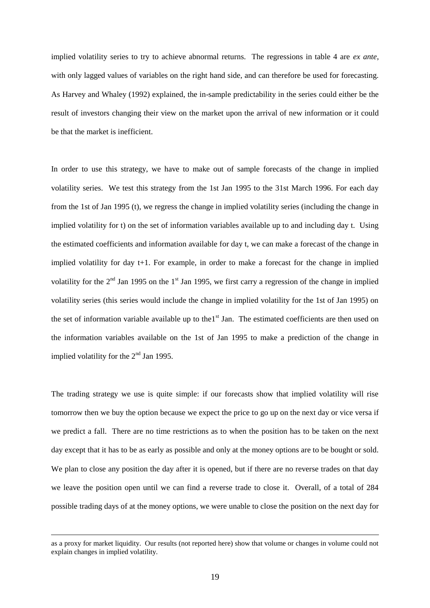implied volatility series to try to achieve abnormal returns. The regressions in table 4 are *ex ante*, with only lagged values of variables on the right hand side, and can therefore be used for forecasting. As Harvey and Whaley (1992) explained, the in-sample predictability in the series could either be the result of investors changing their view on the market upon the arrival of new information or it could be that the market is inefficient.

In order to use this strategy, we have to make out of sample forecasts of the change in implied volatility series. We test this strategy from the 1st Jan 1995 to the 31st March 1996. For each day from the 1st of Jan 1995 (t), we regress the change in implied volatility series (including the change in implied volatility for t) on the set of information variables available up to and including day t. Using the estimated coefficients and information available for day t, we can make a forecast of the change in implied volatility for day t+1. For example, in order to make a forecast for the change in implied volatility for the  $2<sup>nd</sup>$  Jan 1995 on the 1<sup>st</sup> Jan 1995, we first carry a regression of the change in implied volatility series (this series would include the change in implied volatility for the 1st of Jan 1995) on the set of information variable available up to the  $1<sup>st</sup>$  Jan. The estimated coefficients are then used on the information variables available on the 1st of Jan 1995 to make a prediction of the change in implied volatility for the  $2<sup>nd</sup>$  Jan 1995.

The trading strategy we use is quite simple: if our forecasts show that implied volatility will rise tomorrow then we buy the option because we expect the price to go up on the next day or vice versa if we predict a fall. There are no time restrictions as to when the position has to be taken on the next day except that it has to be as early as possible and only at the money options are to be bought or sold. We plan to close any position the day after it is opened, but if there are no reverse trades on that day we leave the position open until we can find a reverse trade to close it. Overall, of a total of 284 possible trading days of at the money options, we were unable to close the position on the next day for

as a proxy for market liquidity. Our results (not reported here) show that volume or changes in volume could not explain changes in implied volatility.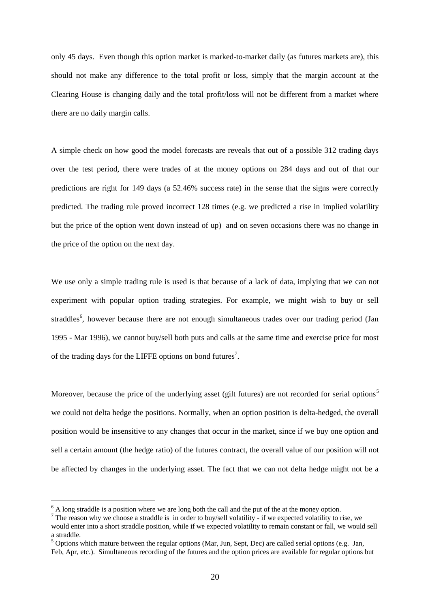only 45 days. Even though this option market is marked-to-market daily (as futures markets are), this should not make any difference to the total profit or loss, simply that the margin account at the Clearing House is changing daily and the total profit/loss will not be different from a market where there are no daily margin calls.

A simple check on how good the model forecasts are reveals that out of a possible 312 trading days over the test period, there were trades of at the money options on 284 days and out of that our predictions are right for 149 days (a 52.46% success rate) in the sense that the signs were correctly predicted. The trading rule proved incorrect 128 times (e.g. we predicted a rise in implied volatility but the price of the option went down instead of up) and on seven occasions there was no change in the price of the option on the next day.

We use only a simple trading rule is used is that because of a lack of data, implying that we can not experiment with popular option trading strategies. For example, we might wish to buy or sell straddles<sup>6</sup>, however because there are not enough simultaneous trades over our trading period (Jan 1995 - Mar 1996), we cannot buy/sell both puts and calls at the same time and exercise price for most of the trading days for the LIFFE options on bond futures<sup>7</sup>.

Moreover, because the price of the underlying asset (gilt futures) are not recorded for serial options<sup>5</sup> we could not delta hedge the positions. Normally, when an option position is delta-hedged, the overall position would be insensitive to any changes that occur in the market, since if we buy one option and sell a certain amount (the hedge ratio) of the futures contract, the overall value of our position will not be affected by changes in the underlying asset. The fact that we can not delta hedge might not be a

<sup>&</sup>lt;sup>6</sup> A long straddle is a position where we are long both the call and the put of the at the money option.

 $<sup>7</sup>$  The reason why we choose a straddle is in order to buy/sell volatility - if we expected volatility to rise, we</sup> would enter into a short straddle position, while if we expected volatility to remain constant or fall, we would sell a straddle.

 $<sup>5</sup>$  Options which mature between the regular options (Mar, Jun, Sept, Dec) are called serial options (e.g. Jan,</sup> Feb, Apr, etc.). Simultaneous recording of the futures and the option prices are available for regular options but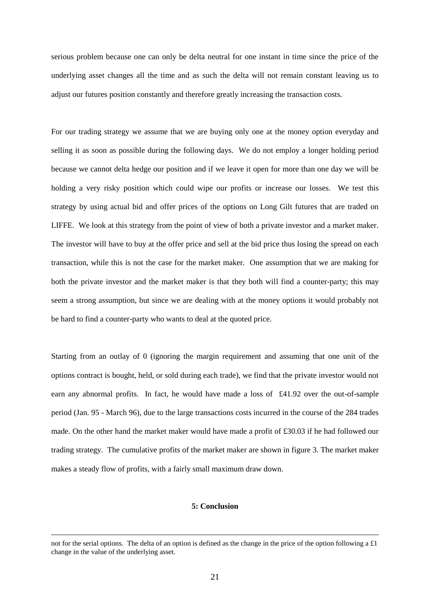serious problem because one can only be delta neutral for one instant in time since the price of the underlying asset changes all the time and as such the delta will not remain constant leaving us to adjust our futures position constantly and therefore greatly increasing the transaction costs.

For our trading strategy we assume that we are buying only one at the money option everyday and selling it as soon as possible during the following days. We do not employ a longer holding period because we cannot delta hedge our position and if we leave it open for more than one day we will be holding a very risky position which could wipe our profits or increase our losses. We test this strategy by using actual bid and offer prices of the options on Long Gilt futures that are traded on LIFFE. We look at this strategy from the point of view of both a private investor and a market maker. The investor will have to buy at the offer price and sell at the bid price thus losing the spread on each transaction, while this is not the case for the market maker. One assumption that we are making for both the private investor and the market maker is that they both will find a counter-party; this may seem a strong assumption, but since we are dealing with at the money options it would probably not be hard to find a counter-party who wants to deal at the quoted price.

Starting from an outlay of 0 (ignoring the margin requirement and assuming that one unit of the options contract is bought, held, or sold during each trade), we find that the private investor would not earn any abnormal profits. In fact, he would have made a loss of £41.92 over the out-of-sample period (Jan. 95 - March 96), due to the large transactions costs incurred in the course of the 284 trades made. On the other hand the market maker would have made a profit of £30.03 if he had followed our trading strategy. The cumulative profits of the market maker are shown in figure 3. The market maker makes a steady flow of profits, with a fairly small maximum draw down.

#### **5: Conclusion**

not for the serial options. The delta of an option is defined as the change in the price of the option following a  $£1$ change in the value of the underlying asset.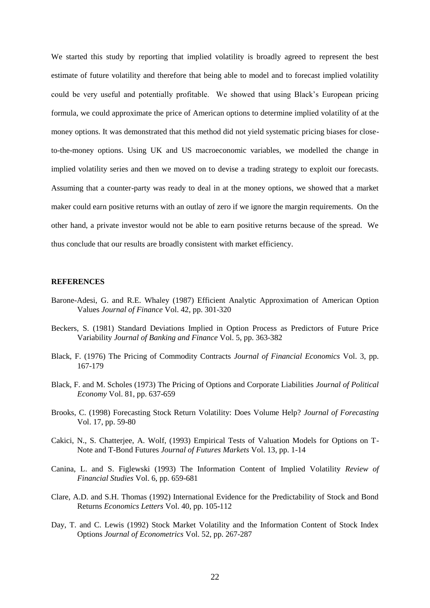We started this study by reporting that implied volatility is broadly agreed to represent the best estimate of future volatility and therefore that being able to model and to forecast implied volatility could be very useful and potentially profitable. We showed that using Black's European pricing formula, we could approximate the price of American options to determine implied volatility of at the money options. It was demonstrated that this method did not yield systematic pricing biases for closeto-the-money options. Using UK and US macroeconomic variables, we modelled the change in implied volatility series and then we moved on to devise a trading strategy to exploit our forecasts. Assuming that a counter-party was ready to deal in at the money options, we showed that a market maker could earn positive returns with an outlay of zero if we ignore the margin requirements. On the other hand, a private investor would not be able to earn positive returns because of the spread. We thus conclude that our results are broadly consistent with market efficiency.

#### **REFERENCES**

- Barone-Adesi, G. and R.E. Whaley (1987) Efficient Analytic Approximation of American Option Values *Journal of Finance* Vol. 42, pp. 301-320
- Beckers, S. (1981) Standard Deviations Implied in Option Process as Predictors of Future Price Variability *Journal of Banking and Finance* Vol. 5, pp. 363-382
- Black, F. (1976) The Pricing of Commodity Contracts *Journal of Financial Economics* Vol. 3, pp. 167-179
- Black, F. and M. Scholes (1973) The Pricing of Options and Corporate Liabilities *Journal of Political Economy* Vol. 81, pp. 637-659
- Brooks, C. (1998) Forecasting Stock Return Volatility: Does Volume Help? *Journal of Forecasting* Vol. 17, pp. 59-80
- Cakici, N., S. Chatterjee, A. Wolf, (1993) Empirical Tests of Valuation Models for Options on T-Note and T-Bond Futures *Journal of Futures Markets* Vol. 13, pp. 1-14
- Canina, L. and S. Figlewski (1993) The Information Content of Implied Volatility *Review of Financial Studies* Vol. 6, pp. 659-681
- Clare, A.D. and S.H. Thomas (1992) International Evidence for the Predictability of Stock and Bond Returns *Economics Letters* Vol. 40, pp. 105-112
- Day, T. and C. Lewis (1992) Stock Market Volatility and the Information Content of Stock Index Options *Journal of Econometrics* Vol. 52, pp. 267-287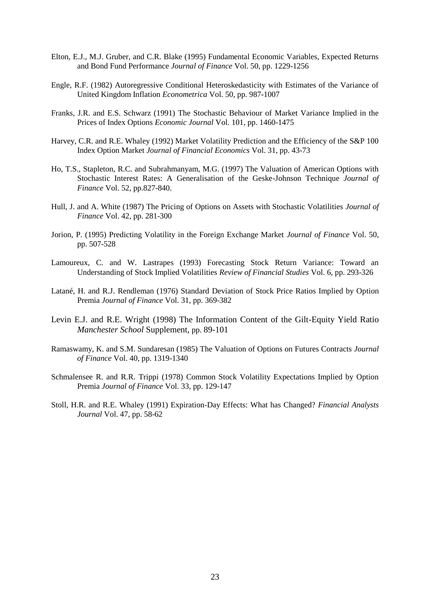- Elton, E.J., M.J. Gruber, and C.R. Blake (1995) Fundamental Economic Variables, Expected Returns and Bond Fund Performance *Journal of Finance* Vol. 50, pp. 1229-1256
- Engle, R.F. (1982) Autoregressive Conditional Heteroskedasticity with Estimates of the Variance of United Kingdom Inflation *Econometrica* Vol. 50, pp. 987-1007
- Franks, J.R. and E.S. Schwarz (1991) The Stochastic Behaviour of Market Variance Implied in the Prices of Index Options *Economic Journal* Vol. 101, pp. 1460-1475
- Harvey, C.R. and R.E. Whaley (1992) Market Volatility Prediction and the Efficiency of the S&P 100 Index Option Market *Journal of Financial Economics* Vol. 31, pp. 43-73
- Ho, T.S., Stapleton, R.C. and Subrahmanyam, M.G. (1997) The Valuation of American Options with Stochastic Interest Rates: A Generalisation of the Geske-Johnson Technique *Journal of Finance* Vol. 52, pp.827-840.
- Hull, J. and A. White (1987) The Pricing of Options on Assets with Stochastic Volatilities *Journal of Finance* Vol. 42, pp. 281-300
- Jorion, P. (1995) Predicting Volatility in the Foreign Exchange Market *Journal of Finance* Vol. 50, pp. 507-528
- Lamoureux, C. and W. Lastrapes (1993) Forecasting Stock Return Variance: Toward an Understanding of Stock Implied Volatilities *Review of Financial Studies* Vol. 6, pp. 293-326
- Latané, H. and R.J. Rendleman (1976) Standard Deviation of Stock Price Ratios Implied by Option Premia *Journal of Finance* Vol. 31, pp. 369-382
- Levin E.J. and R.E. Wright (1998) The Information Content of the Gilt-Equity Yield Ratio *Manchester School* Supplement, pp. 89-101
- Ramaswamy, K. and S.M. Sundaresan (1985) The Valuation of Options on Futures Contracts *Journal of Finance* Vol. 40, pp. 1319-1340
- Schmalensee R. and R.R. Trippi (1978) Common Stock Volatility Expectations Implied by Option Premia *Journal of Finance* Vol. 33, pp. 129-147
- Stoll, H.R. and R.E. Whaley (1991) Expiration-Day Effects: What has Changed? *Financial Analysts Journal* Vol. 47, pp. 58-62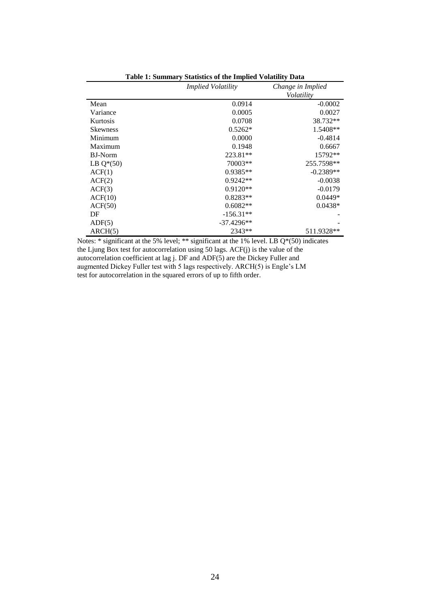|                 | <b>Implied Volatility</b> | Change in Implied<br>Volatility |
|-----------------|---------------------------|---------------------------------|
| Mean            | 0.0914                    | $-0.0002$                       |
| Variance        | 0.0005                    | 0.0027                          |
| Kurtosis        | 0.0708                    | 38.732**                        |
| <b>Skewness</b> | $0.5262*$                 | $1.5408**$                      |
| Minimum         | 0.0000                    | $-0.4814$                       |
| Maximum         | 0.1948                    | 0.6667                          |
| <b>BJ-Norm</b>  | 223.81**                  | 15792**                         |
| LB $Q*(50)$     | 70003**                   | 255.7598**                      |
| ACF(1)          | $0.9385**$                | $-0.2389**$                     |
| ACF(2)          | $0.9242**$                | $-0.0038$                       |
| ACF(3)          | $0.9120**$                | $-0.0179$                       |
| ACF(10)         | $0.8283**$                | $0.0449*$                       |
| ACF(50)         | $0.6082**$                | $0.0438*$                       |
| DF              | $-156.31**$               |                                 |
| ADF(5)          | $-37.4296**$              |                                 |
| ARCH(5)         | 2343**                    | 511.9328**                      |

**Table 1: Summary Statistics of the Implied Volatility Data**

Notes: \* significant at the 5% level; \*\* significant at the 1% level. LB Q\*(50) indicates the Ljung Box test for autocorrelation using 50 lags. ACF(j) is the value of the autocorrelation coefficient at lag j. DF and ADF(5) are the Dickey Fuller and augmented Dickey Fuller test with 5 lags respectively. ARCH(5) is Engle's LM test for autocorrelation in the squared errors of up to fifth order.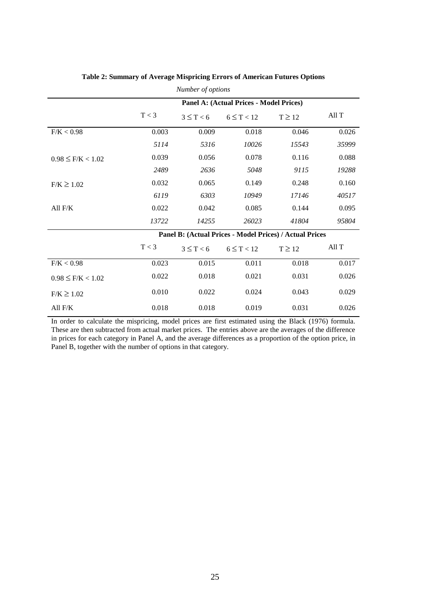| Number of options        |                                                         |                |                 |             |       |
|--------------------------|---------------------------------------------------------|----------------|-----------------|-------------|-------|
|                          | Panel A: (Actual Prices - Model Prices)                 |                |                 |             |       |
|                          | T < 3                                                   | $3 \leq T < 6$ | $6 \leq T < 12$ | $T \geq 12$ | All T |
| F/K < 0.98               | 0.003                                                   | 0.009          | 0.018           | 0.046       | 0.026 |
|                          | 5114                                                    | 5316           | 10026           | 15543       | 35999 |
| $0.98 \leq$ F/K $< 1.02$ | 0.039                                                   | 0.056          | 0.078           | 0.116       | 0.088 |
|                          | 2489                                                    | 2636           | 5048            | 9115        | 19288 |
| $F/K \geq 1.02$          | 0.032                                                   | 0.065          | 0.149           | 0.248       | 0.160 |
|                          | 6119                                                    | 6303           | 10949           | 17146       | 40517 |
| All $F/K$                | 0.022                                                   | 0.042          | 0.085           | 0.144       | 0.095 |
|                          | 13722                                                   | 14255          | 26023           | 41804       | 95804 |
|                          | Panel B: (Actual Prices - Model Prices) / Actual Prices |                |                 |             |       |
|                          | T < 3                                                   | $3 \leq T < 6$ | $6 \leq T < 12$ | $T \geq 12$ | AllT  |
| F/K < 0.98               | 0.023                                                   | 0.015          | 0.011           | 0.018       | 0.017 |
| $0.98 \leq$ F/K $< 1.02$ | 0.022                                                   | 0.018          | 0.021           | 0.031       | 0.026 |
| $F/K \geq 1.02$          | 0.010                                                   | 0.022          | 0.024           | 0.043       | 0.029 |
| All $F/K$                | 0.018                                                   | 0.018          | 0.019           | 0.031       | 0.026 |

## **Table 2: Summary of Average Mispricing Errors of American Futures Options**

In order to calculate the mispricing, model prices are first estimated using the Black (1976) formula. These are then subtracted from actual market prices. The entries above are the averages of the difference in prices for each category in Panel A, and the average differences as a proportion of the option price, in Panel B, together with the number of options in that category.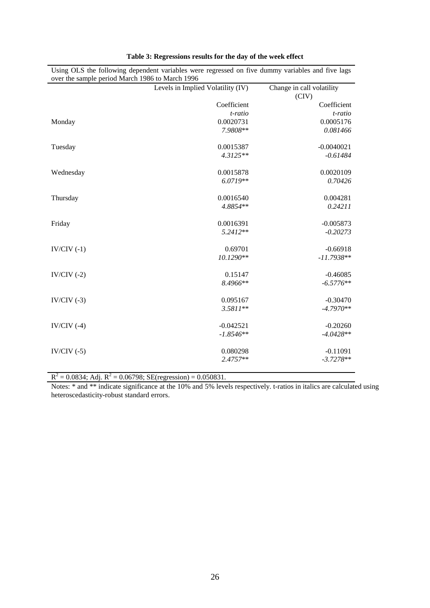| over the sample period March 1986 to March 1996 |                                   |                                    |  |  |  |
|-------------------------------------------------|-----------------------------------|------------------------------------|--|--|--|
|                                                 | Levels in Implied Volatility (IV) | Change in call volatility<br>(CIV) |  |  |  |
|                                                 | Coefficient                       | Coefficient                        |  |  |  |
|                                                 | t-ratio                           | t-ratio                            |  |  |  |
| Monday                                          | 0.0020731                         | 0.0005176                          |  |  |  |
|                                                 | 7.9808**                          | 0.081466                           |  |  |  |
| Tuesday                                         | 0.0015387                         | $-0.0040021$                       |  |  |  |
|                                                 | 4.3125**                          | $-0.61484$                         |  |  |  |
| Wednesday                                       | 0.0015878                         | 0.0020109                          |  |  |  |
|                                                 | $6.0719**$                        | 0.70426                            |  |  |  |
| Thursday                                        | 0.0016540                         | 0.004281                           |  |  |  |
|                                                 | 4.8854**                          | 0.24211                            |  |  |  |
| Friday                                          | 0.0016391                         | $-0.005873$                        |  |  |  |
|                                                 | 5.2412**                          | $-0.20273$                         |  |  |  |
| IV/CIV $(-1)$                                   | 0.69701                           | $-0.66918$                         |  |  |  |
|                                                 | 10.1290**                         | $-11.7938**$                       |  |  |  |
| IV/CIV $(-2)$                                   | 0.15147                           | $-0.46085$                         |  |  |  |
|                                                 | 8.4966**                          | $-6.5776**$                        |  |  |  |
| IV/CIV $(-3)$                                   | 0.095167                          | $-0.30470$                         |  |  |  |
|                                                 | $3.5811**$                        | $-4.7970**$                        |  |  |  |
| IV/CIV $(-4)$                                   | $-0.042521$                       | $-0.20260$                         |  |  |  |
|                                                 | $-1.8546**$                       | $-4.0428**$                        |  |  |  |
| IV/CIV $(-5)$                                   | 0.080298                          | $-0.11091$                         |  |  |  |
|                                                 | 2.4757**                          | $-3.7278**$                        |  |  |  |
|                                                 |                                   |                                    |  |  |  |

#### **Table 3: Regressions results for the day of the week effect**

Using OLS the following dependent variables were regressed on five dummy variables and five lags

 $R<sup>2</sup> = 0.0834$ ; Adj.  $R<sup>2</sup> = 0.06798$ ; SE(regression) = 0.050831.

Notes: \* and \*\* indicate significance at the 10% and 5% levels respectively. t-ratios in italics are calculated using heteroscedasticity-robust standard errors.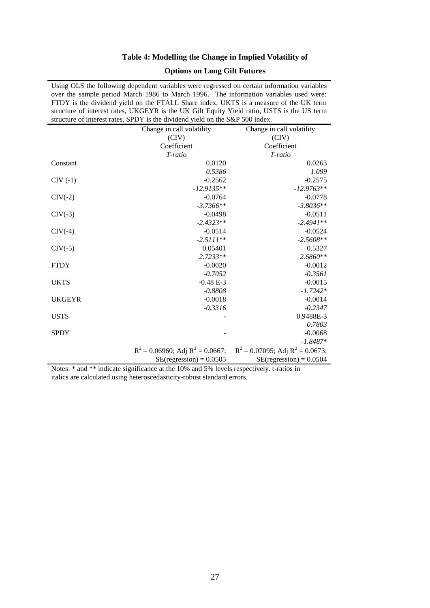# **Table 4: Modelling the Change in Implied Volatility of**

| Using OLS the following dependent variables were regressed on certain information variables |                                      |                                        |  |  |  |  |
|---------------------------------------------------------------------------------------------|--------------------------------------|----------------------------------------|--|--|--|--|
| over the sample period March 1986 to March 1996. The information variables used were:       |                                      |                                        |  |  |  |  |
| FTDY is the dividend yield on the FTALL Share index, UKTS is a measure of the UK term       |                                      |                                        |  |  |  |  |
| structure of interest rates, UKGEYR is the UK Gilt Equity Yield ratio, USTS is the US term  |                                      |                                        |  |  |  |  |
| structure of interest rates, SPDY is the dividend yield on the S&P 500 index.               |                                      |                                        |  |  |  |  |
|                                                                                             | Change in call volatility            | Change in call volatility              |  |  |  |  |
|                                                                                             | (CIV)                                | (CIV)                                  |  |  |  |  |
|                                                                                             | Coefficient                          | Coefficient                            |  |  |  |  |
|                                                                                             | T-ratio                              | T-ratio                                |  |  |  |  |
| Constant                                                                                    | 0.0120                               | 0.0263                                 |  |  |  |  |
|                                                                                             | 0.5386                               | 1.099                                  |  |  |  |  |
| $CIV(-1)$                                                                                   | $-0.2562$                            | $-0.2575$                              |  |  |  |  |
|                                                                                             | $-12.9135**$                         | $-12.9763**$                           |  |  |  |  |
| $CIV(-2)$                                                                                   | $-0.0764$                            | $-0.0778$                              |  |  |  |  |
|                                                                                             | $-3.7366**$                          | $-3.8036**$                            |  |  |  |  |
| $CIV(-3)$                                                                                   | $-0.0498$                            | $-0.0511$                              |  |  |  |  |
|                                                                                             | $-2.4323**$                          | $-2.4941**$                            |  |  |  |  |
| $CIV(-4)$                                                                                   | $-0.0514$                            | $-0.0524$                              |  |  |  |  |
|                                                                                             | $-2.5111**$                          | $-2.5608**$                            |  |  |  |  |
| $CIV(-5)$                                                                                   | 0.05401                              | 0.5327                                 |  |  |  |  |
|                                                                                             | 2.7233**                             | 2.6860**                               |  |  |  |  |
| <b>FTDY</b>                                                                                 | $-0.0020$                            | $-0.0012$                              |  |  |  |  |
|                                                                                             | $-0.7052$                            | $-0.3561$                              |  |  |  |  |
| <b>UKTS</b>                                                                                 | $-0.48 E-3$                          | $-0.0015$                              |  |  |  |  |
|                                                                                             | $-0.8808$                            | $-1.7242*$                             |  |  |  |  |
| <b>UKGEYR</b>                                                                               | $-0.0018$                            | $-0.0014$                              |  |  |  |  |
|                                                                                             | $-0.3316$                            | $-0.2347$                              |  |  |  |  |
| <b>USTS</b>                                                                                 |                                      | 0.9488E-3                              |  |  |  |  |
|                                                                                             |                                      | 0.7803                                 |  |  |  |  |
| <b>SPDY</b>                                                                                 |                                      | $-0.0068$                              |  |  |  |  |
|                                                                                             |                                      | $-1.8487*$                             |  |  |  |  |
|                                                                                             | $R^2$ = 0.06960; Adj $R^2$ = 0.0667; | $R^2 = 0.07095$ ; Adj $R^2 = 0.0673$ ; |  |  |  |  |
|                                                                                             | $SE(regression) = 0.0505$            | $SE(regression) = 0.0504$              |  |  |  |  |

# **Options on Long Gilt Futures**

Notes: \* and \*\* indicate significance at the 10% and 5% levels respectively. t-ratios in italics are calculated using heteroscedasticity-robust standard errors.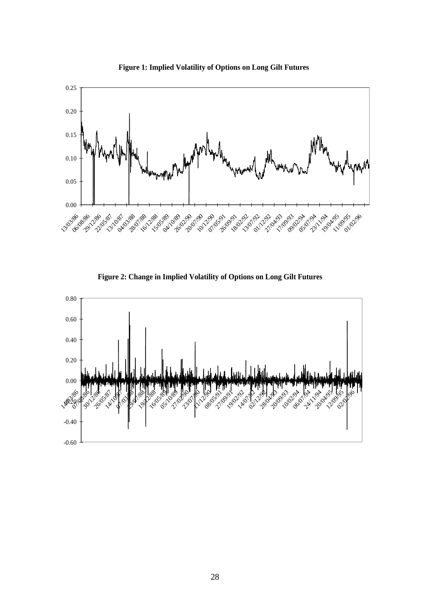

**Figure 1: Implied Volatility of Options on Long Gilt Futures**

**Figure 2: Change in Implied Volatility of Options on Long Gilt Futures**